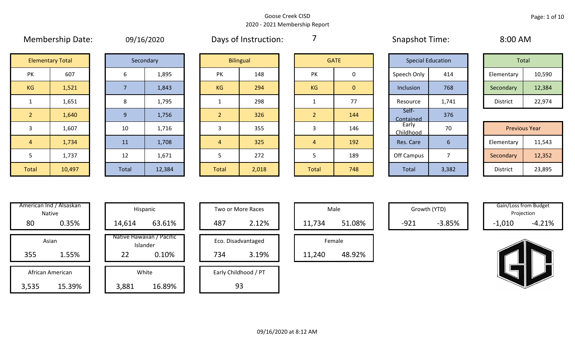# Membership Date: 09/16/2020 Snapshot Time: 8:00 AM Days of Instruction:

7

| Total           |        |  |  |  |  |  |  |  |  |  |
|-----------------|--------|--|--|--|--|--|--|--|--|--|
| Elementary      | 10,590 |  |  |  |  |  |  |  |  |  |
| Secondary       | 12,384 |  |  |  |  |  |  |  |  |  |
| <b>District</b> | 22,974 |  |  |  |  |  |  |  |  |  |

| <b>Previous Year</b> |        |  |  |  |  |  |  |  |  |  |  |
|----------------------|--------|--|--|--|--|--|--|--|--|--|--|
| Elementary           | 11,543 |  |  |  |  |  |  |  |  |  |  |
| Secondary            | 12,352 |  |  |  |  |  |  |  |  |  |  |
| <b>District</b>      | 23,895 |  |  |  |  |  |  |  |  |  |  |

|                | <b>Elementary Total</b> | Secondary    |   |
|----------------|-------------------------|--------------|---|
| PK             | 607                     | 6            |   |
| <b>KG</b>      | 1,521                   | 7            |   |
| $\mathbf{1}$   | 1,651                   | 8            |   |
| $\overline{2}$ | 1,640                   | 9            |   |
| 3              | 1,607                   | 10           |   |
| $\overline{4}$ | 1,734                   | 11           |   |
| 5              | 1,737                   | 12           |   |
| <b>Total</b>   | 10,497                  | <b>Total</b> | 1 |

|              | Secondary |
|--------------|-----------|
| 6            | 1,895     |
| 7            | 1,843     |
| 8            | 1,795     |
| 9            | 1,756     |
| 10           | 1,716     |
| 11           | 1,708     |
| 12           | 1,671     |
| <b>Total</b> | 12,384    |

|                | <b>Elementary Total</b> |       | Secondary |                | <b>Bilingual</b> |  | <b>GATE</b> |                |  | <b>Special Education</b> |       | Total      |                      |
|----------------|-------------------------|-------|-----------|----------------|------------------|--|-------------|----------------|--|--------------------------|-------|------------|----------------------|
| PK             | 607                     | 6     | 1,895     | PK             | 148              |  | PK          | 0              |  | Speech Only              | 414   | Elementary | 10,590               |
| KG             | 1,521                   |       | 1,843     | KG             | 294              |  | KG          | $\overline{0}$ |  | Inclusion                | 768   | Secondary  | 12,384               |
| $\mathbf{1}$   | 1,651                   | 8     | 1,795     |                | 298              |  |             | 77             |  | Resource                 | 1,741 | District   | 22,974               |
| 2              | 1,640                   | -9    | 1,756     | $\overline{2}$ | 326              |  | ာ           | 144            |  | Self-<br>Contained       | 376   |            |                      |
| 3              | 1,607                   | 10    | 1,716     |                | 355              |  | 5           | 146            |  | Early<br>Childhood       | 70    |            | <b>Previous Year</b> |
| $\overline{4}$ | 1,734                   | 11    | 1,708     | $\overline{4}$ | 325              |  | 4           | 192            |  | Res. Care                | 6     | Elementary | 11,543               |
| 5              | 1,737                   | 12    | 1,671     |                | 272              |  |             | 189            |  | Off Campus               | ⇁     | Secondary  | 12,352               |
| Total          | 10,497                  | Total | 12,384    | Total          | 2,018            |  | Total       | 748            |  | Total                    | 3,382 | District   | 23,895               |

|                | <b>GATE</b>  |
|----------------|--------------|
| PK             | 0            |
| KG             | $\mathbf{0}$ |
| 1              | 77           |
| $\overline{2}$ | 144          |
| 3              | 146          |
| 4              | 192          |
| 5              | 189          |
| <b>Total</b>   | 748          |

|                    | <b>Special Education</b> | <b>Total</b>    |                      |  |  |  |  |  |  |
|--------------------|--------------------------|-----------------|----------------------|--|--|--|--|--|--|
| Speech Only        | 414                      | Elementary      | 10,590               |  |  |  |  |  |  |
| Inclusion          | 768                      | Secondary       | 12,384               |  |  |  |  |  |  |
| Resource           | 1,741                    | <b>District</b> | 22,974               |  |  |  |  |  |  |
| Self-<br>Contained | 376                      |                 |                      |  |  |  |  |  |  |
| Early<br>Childhood | 70                       |                 | <b>Previous Year</b> |  |  |  |  |  |  |
| Res. Care          | 6                        | Elementary      | 11,543               |  |  |  |  |  |  |
| <b>Off Campus</b>  | 7                        | Secondary       | 12,352               |  |  |  |  |  |  |
| <b>Total</b>       | 3,382                    | <b>District</b> | 23,895               |  |  |  |  |  |  |

| Hispani                    |       | American Ind / Alsaskan<br><b>Native</b> |  |  |  |  |  |  |  |  |  |
|----------------------------|-------|------------------------------------------|--|--|--|--|--|--|--|--|--|
| 14,614                     | 0.35% | 80                                       |  |  |  |  |  |  |  |  |  |
| Native Hawaiiai<br>Islande |       | Asian                                    |  |  |  |  |  |  |  |  |  |
| 22                         | 1.55% | 355                                      |  |  |  |  |  |  |  |  |  |
| White                      |       | African American                         |  |  |  |  |  |  |  |  |  |
| 3,881                      |       | 15.39%<br>3,535                          |  |  |  |  |  |  |  |  |  |

| nerican ind / Alsaskan<br>Native |                  |  |        | Hispanic                              | Two or More Races |     |                      |  |        | Male   |        | Growth (YTD) | Gain/Loss from Budget<br>Projection |          |  |  |  |  |
|----------------------------------|------------------|--|--------|---------------------------------------|-------------------|-----|----------------------|--|--------|--------|--------|--------------|-------------------------------------|----------|--|--|--|--|
| 80                               | 0.35%            |  | 14,614 | 63.61%                                |                   | 487 | 2.12%                |  | 11,734 | 51.08% | $-921$ | $-3.85%$     | $-1,010$                            | $-4.21%$ |  |  |  |  |
|                                  | Asian            |  |        | Native Hawaiian / Pacific<br>Islander |                   |     | Eco. Disadvantaged   |  |        | Female |        |              |                                     |          |  |  |  |  |
| 355<br>1.55%                     |                  |  | 22     | 0.10%                                 |                   | 734 | 3.19%                |  | 11,240 | 48.92% |        |              |                                     |          |  |  |  |  |
|                                  | African American |  |        | White                                 |                   |     | Early Childhood / PT |  |        |        |        |              |                                     |          |  |  |  |  |
| ,535                             | 15.39%           |  | 3,881  | 16.89%                                |                   |     | 93                   |  |        |        |        |              |                                     |          |  |  |  |  |

| Hispanic                       |     | Two or More Races    |        | Male   |
|--------------------------------|-----|----------------------|--------|--------|
| 63.61%                         | 487 | 2.12%                | 11,734 |        |
| lawaiian / Pacific<br>Islander |     | Eco. Disadvantaged   |        | Female |
| 0.10%                          | 734 | 3.19%                | 11,240 |        |
| White                          |     | Early Childhood / PT |        |        |
| 16.89%                         |     | 93                   |        |        |

| Male   |        |  |  |  |  |  |  |  |  |  |  |
|--------|--------|--|--|--|--|--|--|--|--|--|--|
| 11,734 | 51.08% |  |  |  |  |  |  |  |  |  |  |
| Female |        |  |  |  |  |  |  |  |  |  |  |
|        |        |  |  |  |  |  |  |  |  |  |  |

Gain/Loss from Budget<br>
Gain/Loss from Budget Projection

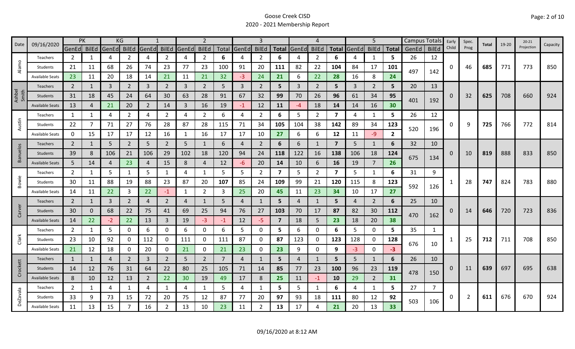| 09/16/2020<br>Date |                        | <b>PK</b>      |              | KG          |                |                |                | $\overline{2}$ |                |      |             | 4              |                         |                |                | 5                       |       |                | Campus Totals   | Early | Spec.        | Total    | $19 - 20$ | $20 - 21$ |     |            |          |  |
|--------------------|------------------------|----------------|--------------|-------------|----------------|----------------|----------------|----------------|----------------|------|-------------|----------------|-------------------------|----------------|----------------|-------------------------|-------|----------------|-----------------|-------|--------------|----------|-----------|-----------|-----|------------|----------|--|
|                    |                        | GenEd BilEd    |              | GenEd BilEd |                | GenEd          | <b>BilEd</b>   | GenEd          | <b>BilEd</b>   |      | Total GenEd | <b>BilEd</b>   |                         | Total GenEd    | <b>BilEd</b>   | <b>Total</b>            | GenEd | <b>BilEd</b>   | <b>Total</b>    | GenEd | <b>BilEd</b> | Child    | Prog      |           |     | Projection | Capacity |  |
|                    | Teachers               | 2              | 1            | 4           | 2              | 4              | $\overline{2}$ | 4              | $\overline{2}$ | 6    | 4           | 2              | 6                       |                | 2              | 6                       |       | 1              | 5.              | 26    | 12           |          |           |           |     |            |          |  |
| Alamo              | Students               | 21             | 11           | 68          | 26             | 74             | 23             | 77             | 23             | 100  | 91          | 20             | 111                     | 82             | 22             | 104                     | 84    | 17             | 101             | 497   | 142          | 0        | 46        | 685       | 771 | 773        | 850      |  |
|                    | <b>Available Seats</b> | 23             | 11           | 20          | 18             | 14             | 21             | 11             | 21             | 32   | $-3$        | 24             | 21                      | 6              | 22             | 28                      | 16    | 8              | 24              |       |              |          |           |           |     |            |          |  |
|                    | Teachers               | $\overline{2}$ | 1            | 3           | $\overline{2}$ | $\overline{3}$ | $\overline{2}$ | 3              | $\overline{2}$ | 5    | 3           | $\overline{2}$ | 5                       | 3              | $\overline{2}$ | 5                       | 3     | $\overline{2}$ | 5               | 20    | 13           |          |           |           |     |            |          |  |
| Ashbel<br>Smith    | <b>Students</b>        | 31             | 18           | 45          | 24             | 64             | 30             | 63             | 28             | 91   | 67          | 32             | 99                      | 70             | 26             | 96                      | 61    | 34             | 95              |       |              | $\Omega$ | 32        | 625       | 708 | 660        | 924      |  |
|                    | <b>Available Seats</b> | 13             | 4            | 21          | 20             | 2              | 14             | 3              | 16             | 19   | $-1$        | 12             | 11                      | $-4$           | 18             | 14                      | 14    | 16             | 30 <sub>o</sub> | 401   | 192          |          |           |           |     |            |          |  |
|                    | Teachers               | 1              | 1            | 4           | 2              | 4              | $\overline{2}$ | 4              | $\overline{2}$ | 6    | 4           | $\overline{2}$ | 6                       | 5              | $\overline{2}$ | $\overline{\mathbf{z}}$ | 4     | $\mathbf{1}$   | 5               | 26    | 12           |          |           |           |     |            |          |  |
| Austin             | Students               | 22             | 7            | 71          | 27             | 76             | 28             | 87             | 28             | 115  | 71          | 34             | 105                     | 104            | 38             | 142                     | 89    | 34             | 123             |       |              | 0        | 9         | 725       | 766 | 772        | 814      |  |
|                    | <b>Available Seats</b> | 0              | 15           | 17          | 17             | 12             | 16             |                | 16             | 17   | 17          | 10             | 27                      | 6              | 6              | 12                      | 11    | $-9$           | $\mathbf{2}$    | 520   | 196          |          |           |           |     |            |          |  |
|                    | Teachers               | $\overline{2}$ | 1            | 5           | $\overline{2}$ | 5              | $\overline{2}$ | 5              | 1              | 6    | 4           | $\overline{2}$ | 6                       | 6              | 1              | $\overline{7}$          | 5     | 1              | 6               | 32    | 10           |          |           |           |     |            |          |  |
| <b>Banuelos</b>    | Students               | 39             | 8            | 106         | 21             | 106            | 29             | 102            | 18             | 120  | 94          | 24             | 118                     | 122            | 16             | 138                     | 106   | 18             | 124             |       |              | 0        | 10        | 819       | 888 | 833        | 850      |  |
|                    | <b>Available Seats</b> | 5              | 14           | 4           | 23             | $\overline{4}$ | 15             | 8              | $\overline{4}$ | 12   | -6          | 20             | 14                      | 10             | 6              | 16                      | 19    | 7              | 26              | 675   |              | 134      |           |           |     |            |          |  |
|                    | Teachers               | $\overline{2}$ | $\mathbf{1}$ | 5           | 1              | 5              | 1              | 4              | 1              | 5    | 5           | $\overline{2}$ | $\overline{\mathbf{z}}$ | 5.             | 2              | $\overline{\mathbf{z}}$ | 5     | 1              | 6               | 31    | 9            |          |           |           |     |            |          |  |
| Bowie              | Students               | 30             | 11           | 88          | 19             | 88             | 23             | 87             | 20             | 107  | 85          | 24             | 109                     | 99             | 21             | 120                     | 115   | 8              | 123             | 592   |              |          | 28        | 747       | 824 | 783        | 880      |  |
|                    | <b>Available Seats</b> | 14             | 11           | 22          | 3              | 22             | $-1$           | 1              | $\overline{2}$ | 3    | 25          | 20             | 45                      | 11             | 23             | 34                      | 10    | 17             | 27              |       | 126          |          |           |           |     |            |          |  |
|                    | Teachers               | $\overline{2}$ | $\mathbf{1}$ | 3           | $\overline{2}$ | $\overline{4}$ | $\overline{2}$ | 4              | 1              | 5    | 4           |                | 5                       | 4              | $\mathbf{1}$   | 5                       | 4     | $\overline{2}$ | 6               | 25    | 10           |          |           |           |     |            |          |  |
| Carver             | Students               | 30             | $\Omega$     | 68          | 22             | 75             | 41             | 69             | 25             | 94   | 76          | 27             | 103                     | 70             | 17             | 87                      | 82    | 30             | 112             |       |              | O        | 14        | 646       | 720 | 723        | 836      |  |
|                    | <b>Available Seats</b> | 14             | 22           | $-2$        | 22             | 13             | $\mathbf{3}$   | 19             | $-3$           | $-1$ | 12          | $-5$           | $\overline{\mathbf{z}}$ | 18             | 5              | 23                      | 18    | 20             | 38              | 470   | 162          |          |           |           |     |            |          |  |
|                    | Teachers               | $\overline{2}$ | $\mathbf{1}$ | 5           | 0              | 6              | 0              | 6              | 0              | 6    | 5           | 0              | 5                       | 6              | 0              | 6                       | 5     | $\mathbf 0$    | 5               | 35    | 1            |          |           |           |     |            |          |  |
| Clark              | Students               | 23             | 10           | 92          | 0              | 112            | 0              | 111            | 0              | 111  | 87          | 0              | 87                      | 123            | 0              | 123                     | 128   | $\mathbf 0$    | 128             | 676   |              |          | 25        | 712       | 711 | 708        | 850      |  |
|                    | <b>Available Seats</b> | 21             | 12           | 18          | 0              | 20             | 0              | 21             | 0              | 21   | 23          | 0              | 23                      | 9              | 0              | 9                       | $-3$  | $\mathbf 0$    | $-3$            |       | 10           |          |           |           |     |            |          |  |
|                    | Teachers               | 1              | 1            | 4           | $\overline{2}$ | 3              | $\overline{2}$ | 5              | $\overline{2}$ | 7    | 4           |                | 5                       | $\overline{4}$ | 1              | 5                       | 5     | 1              | 6               | 26    | 10           |          |           |           |     |            |          |  |
| Crockett           | Students               | 14             | 12           | 76          | 31             | 64             | 22             | 80             | 25             | 105  | 71          | 14             | 85                      | 77             | 23             | 100                     | 96    | 23             | 119             |       |              | 0        | 11        | 639       | 697 | 695        | 638      |  |
|                    | <b>Available Seats</b> | 8              | 10           | 12          | 13             | 2              | 22             | 30             | 19             | 49   | 17          | 8              | 25                      | 11             | $-1$           | 10                      | 29    | $\overline{2}$ | 31              | 478   | 150          |          |           |           |     |            |          |  |
|                    | Teachers               | $\overline{2}$ | 1            | 4           | 1              | 4              | $\mathbf{1}$   | 4              | 1              | 5    | 4           | 1              | 5                       | 5              | 1              | 6                       | 4     | $\mathbf{1}$   | 5.              | 27    | 7            |          |           |           |     |            |          |  |
| <b>DeZavala</b>    | Students               | 33             | 9            | 73          | 15             | 72             | 20             | 75             | 12             | 87   | 77          | 20             | 97                      | 93             | 18             | 111                     | 80    | 12             | 92              |       |              | 0        | 2         | 611       | 676 | 670        | 924      |  |
|                    | <b>Available Seats</b> | 11             | 13           | 15          |                | 16             | 2              | 13             | 10             | 23   | 11          | $\overline{2}$ | 13                      | 17             | 4              | 21                      | 20    | 13             | 33              | 503   | 106          |          |           |           |     |            |          |  |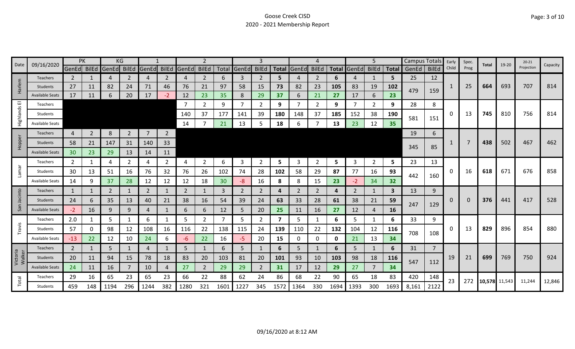| Date               | 09/16/2020             |                 | PK             |       | ΚG             |                   |                |              | 2              |      |             | 3              |                         |       |                |              |       | 5              |              | Campus Totals |                | Early | Spec.    | Total         | 19-20 | $20 - 21$  | Capacity |
|--------------------|------------------------|-----------------|----------------|-------|----------------|-------------------|----------------|--------------|----------------|------|-------------|----------------|-------------------------|-------|----------------|--------------|-------|----------------|--------------|---------------|----------------|-------|----------|---------------|-------|------------|----------|
|                    |                        | GenEd BilEd     |                | GenEd |                | BilEd GenEd BilEd |                | <b>GenEd</b> | <b>BilEd</b>   |      | Total GenEd | <b>BilEd</b>   | <b>Total</b>            | GenEd | <b>BilEd</b>   | <b>Total</b> | GenEd | <b>BilEd</b>   | <b>Total</b> | GenEd         | <b>BilEd</b>   | Child | Prog     |               |       | Projection |          |
|                    | <b>Teachers</b>        | $\mathbf{2}$    |                | 4     | 2              | $\overline{4}$    | 2              | 4            | $\overline{2}$ | 6    | 3           | 2              | 5                       |       | $\overline{2}$ | 6            | 4     | -1             | 5.           | 25            | 12             |       |          |               |       |            |          |
| Harlem             | <b>Students</b>        | 27              | 11             | 82    | 24             | 71                | 46             | 76           | 21             | 97   | 58          | 15             | 73                      | 82    | 23             | 105          | 83    | 19             | 102          | 479           | 159            | -1    | 25       | 664           | 693   | 707        | 814      |
|                    | <b>Available Seats</b> | 17              | 11             | 6     | 20             | 17                | $-2$           | 12           | 23             | 35   | 8           | 29             | 37                      | 6     | 21             | 27           | 17    | 6              | 23           |               |                |       |          |               |       |            |          |
| ш                  | Teachers               |                 |                |       |                |                   |                | -7           | $\mathbf{2}$   | 9    | 7           | $\overline{2}$ | 9                       |       | 2              | 9            | 7     | $\overline{2}$ | 9            | 28            | 8              |       |          |               |       |            |          |
| Highlands          | Students               |                 |                |       |                |                   |                | 140          | 37             | 177  | 141         | 39             | 180                     | 148   | 37             | 185          | 152   | 38             | 190          | 581           | 151            | 0     | 13       | 745           | 810   | 756        | 814      |
|                    | <b>Available Seats</b> |                 |                |       |                |                   |                | 14           |                | 21   | 13          | 5              | 18                      | 6     |                | 13           | 23    | 12             | 35           |               |                |       |          |               |       |            |          |
|                    | Teachers               | 4               | $\overline{2}$ | 8     | $\overline{2}$ | $\overline{7}$    | $\overline{2}$ |              |                |      |             |                |                         |       |                |              |       |                |              | 19            | 6              |       |          |               |       |            |          |
| Hopper             | Students               | 58              | 21             | 147   | 31             | 140               | 33             |              |                |      |             |                |                         |       |                |              |       |                |              |               |                |       |          | 438           | 502   | 467        | 462      |
|                    | <b>Available Seats</b> | 30 <sup>°</sup> | 23             | 29    | 13             | 14                | 11             |              |                |      |             |                |                         |       |                |              |       |                |              | 345           | 85             |       |          |               |       |            |          |
|                    | Teachers               | 2               | 1              | 4     | 2              | 4                 | $\overline{2}$ | 4            | $\overline{2}$ | 6    | 3           | 2              | 5.                      | 3     | 2              | 5            | 3     | $\overline{2}$ | 5.           | 23            | 13             |       |          |               |       |            |          |
| <b>Lamar</b>       | Students               | 30              | 13             | 51    | 16             | 76                | 32             | 76           | 26             | 102  | 74          | 28             | 102                     | 58    | 29             | 87           | 77    | 16             | 93           |               |                | 0     | 16       | 618           | 671   | 676        | 858      |
|                    | <b>Available Seats</b> | 14              | 9              | 37    | 28             | 12                | 12             | 12           | 18             | 30   | -8          | 16             | 8                       | 8     | 15             | 23           | $-2$  | 34             | 32           | 442           | 160            |       |          |               |       |            |          |
|                    | Teachers               | 1               | 1              | 2     |                | 2                 | 1              | 2            | 1              | 3    | 2           | 2              | 4                       | 2     | 2              | 4            | 2     | 1              | $\mathbf{3}$ | 13            | 9              |       |          |               |       |            |          |
| Jacinto            | Students               | 24              | 6              | 35    | 13             | 40                | 21             | 38           | 16             | 54   | 39          | 24             | 63                      | 33    | 28             | 61           | 38    | 21             | 59           |               |                | 0     | $\Omega$ | 376           | 441   | 417        | 528      |
| San                | <b>Available Seats</b> | $-2$            | 16             | 9     | 9              | 4                 | 1              | 6            | 6              | 12   | 5           | 20             | 25                      | 11    | 16             | 27           | 12    | 4              | <b>16</b>    | 247           | 129            |       |          |               |       |            |          |
|                    | Teachers               | 2.0             | 1              | 5     |                | 6                 | 1              | 5            | $\overline{2}$ | 7    | 5           | 2              | $\overline{\mathbf{z}}$ | 5     | 1              | 6            | 5     | 1              | 6            | 33            | 9              |       |          |               |       |            |          |
| Travis             | Students               | 57              | 0              | 98    | 12             | 108               | 16             | 116          | 22             | 138  | 115         | 24             | 139                     | 110   | 22             | 132          | 104   | 12             | 116          |               |                | 0     | 13       | 829           | 896   | 854        | 880      |
|                    | <b>Available Seats</b> | $-13$           | 22             | 12    | 10             | 24                | 6              | -6           | 22             | 16   | $-5$        | 20             | 15                      | 0     | 0              | 0            | 21    | 13             | 34           | 708           | 108            |       |          |               |       |            |          |
|                    | Teachers               | $\overline{2}$  | 1              | 5     |                | $\overline{4}$    |                | 5            |                | 6    | 5           |                | 6                       | 5     | 1              | 6            | 5     | 1              | 6            | 31            | $\overline{7}$ |       |          |               |       |            |          |
| Victoria<br>Walker | Students               | 20              | 11             | 94    | 15             | 78                | 18             | 83           | 20             | 103  | 81          | 20             | 101                     | 93    | 10             | 103          | 98    | 18             | <b>116</b>   |               |                | 19    | 21       | 699           | 769   | 750        | 924      |
|                    | <b>Available Seats</b> | 24              | 11             | 16    |                | 10                | 4              | 27           | $\overline{2}$ | 29   | 29          | 2              | 31                      | 17    | 12             | 29           | 27    | $\overline{7}$ | 34           | 547           | 112            |       |          |               |       |            |          |
|                    | Teachers               | 29              | 16             | 65    | 23             | 65                | 23             | 66           | 22             | 88   | 62          | 24             | 86                      | 68    | 22             | 90           | 65    | 18             | 83           | 420           | 148            | 23    | 272      |               |       |            |          |
| Total              | <b>Students</b>        | 459             | 148            | 1194  | 296            | 1244              | 382            | 1280         | 321            | 1601 | 1227        | 345            | 1572                    | 1364  | 330            | 1694         | 1393  | 300            | 1693         | 8,161         | 2122           |       |          | 10,578 11,543 |       | 11,244     | 12,846   |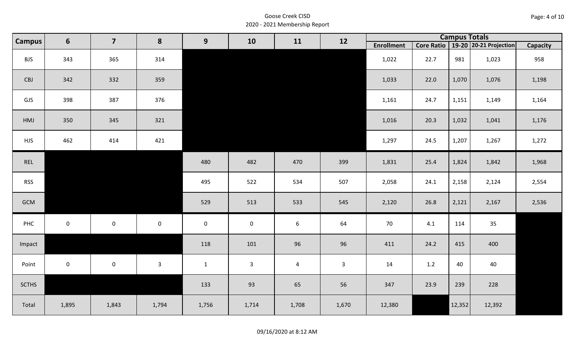| Page: 4 of 10 |  |  |  |
|---------------|--|--|--|
|---------------|--|--|--|

|              | $6\phantom{1}$<br><b>Campus</b> | $\overline{\mathbf{z}}$ | 8            | 9            | 10           | 11             | 12           |                   |            | <b>Campus Totals</b> |                        |          |  |  |  |
|--------------|---------------------------------|-------------------------|--------------|--------------|--------------|----------------|--------------|-------------------|------------|----------------------|------------------------|----------|--|--|--|
|              |                                 |                         |              |              |              |                |              | <b>Enrollment</b> | Core Ratio |                      | 19-20 20-21 Projection | Capacity |  |  |  |
| <b>BJS</b>   | 343                             | 365                     | 314          |              |              |                |              | 1,022             | 22.7       | 981                  | 1,023                  | 958      |  |  |  |
| CBJ          | 342                             | 332                     | 359          |              |              |                |              | 1,033             | 22.0       | 1,070                | 1,076                  | 1,198    |  |  |  |
| GJS          | 398                             | 387                     | 376          |              |              |                |              | 1,161             | 24.7       | 1,151                | 1,149                  | 1,164    |  |  |  |
| HMJ          | 350                             | 345                     | 321          |              |              |                |              | 1,016             | 20.3       | 1,032                | 1,041                  | 1,176    |  |  |  |
| <b>HJS</b>   | 462                             | 414                     | 421          |              |              |                |              | 1,297             | 24.5       | 1,207                | 1,267                  | 1,272    |  |  |  |
| REL          |                                 |                         |              | 480          | 482          | 470            | 399          | 1,831             | 25.4       | 1,824                | 1,842                  | 1,968    |  |  |  |
| <b>RSS</b>   |                                 |                         |              | 495          | 522          | 534            | 507          | 2,058             | 24.1       | 2,158                | 2,124                  | 2,554    |  |  |  |
| GCM          |                                 |                         |              | 529          | 513          | 533            | 545          | 2,120             | 26.8       | 2,121                | 2,167                  | 2,536    |  |  |  |
| PHC          | $\mathsf{O}\xspace$             | $\mathsf{O}\xspace$     | $\mathbf 0$  | $\mathbf 0$  | $\pmb{0}$    | $6\,$          | 64           | 70                | 4.1        | 114                  | 35                     |          |  |  |  |
| Impact       |                                 |                         |              | 118          | 101          | 96             | 96           | 411               | 24.2       | 415                  | 400                    |          |  |  |  |
| Point        | $\mathsf{O}\xspace$             | $\mathsf{O}\xspace$     | $\mathbf{3}$ | $\mathbf{1}$ | $\mathbf{3}$ | $\overline{4}$ | $\mathbf{3}$ | 14                | 1.2        | 40                   | 40                     |          |  |  |  |
| <b>SCTHS</b> |                                 |                         |              | 133          | 93           | 65             | 56           | 347               | 23.9       | 239                  | 228                    |          |  |  |  |
| Total        | 1,895                           | 1,843                   | 1,794        | 1,756        | 1,714        | 1,708          | 1,670        | 12,380            |            | 12,352               | 12,392                 |          |  |  |  |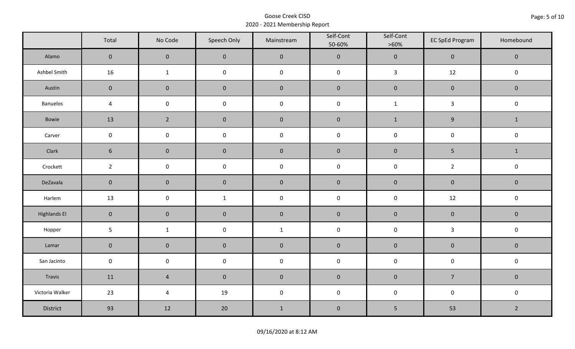|                     | Total               | No Code             | Speech Only         | Mainstream  | Self-Cont<br>50-60% | Self-Cont<br>$>60\%$ | <b>EC SpEd Program</b> | Homebound      |
|---------------------|---------------------|---------------------|---------------------|-------------|---------------------|----------------------|------------------------|----------------|
| Alamo               | $\overline{0}$      | $\mathbf{0}$        | $\mathbf{0}$        | $\pmb{0}$   | $\pmb{0}$           | $\pmb{0}$            | $\mathbf 0$            | $\mathbf 0$    |
| Ashbel Smith        | 16                  | $\mathbf{1}$        | $\mathsf 0$         | $\pmb{0}$   | $\pmb{0}$           | $\mathbf{3}$         | 12                     | $\mathbf 0$    |
| Austin              | $\mathbf 0$         | $\mathbf 0$         | $\mathbf 0$         | $\pmb{0}$   | $\pmb{0}$           | $\pmb{0}$            | $\pmb{0}$              | $\mathbf 0$    |
| Banuelos            | $\sqrt{4}$          | $\mathsf{O}\xspace$ | $\pmb{0}$           | $\pmb{0}$   | $\pmb{0}$           | $\mathbf 1$          | $\mathbf{3}$           | $\pmb{0}$      |
| Bowie               | 13                  | $\overline{2}$      | $\mathbf{0}$        | $\mathbf 0$ | $\mathbf 0$         | $\mathbf{1}$         | $\boldsymbol{9}$       | $\mathbf{1}$   |
| Carver              | $\mathbf 0$         | $\pmb{0}$           | $\pmb{0}$           | $\pmb{0}$   | $\pmb{0}$           | $\pmb{0}$            | $\pmb{0}$              | $\pmb{0}$      |
| Clark               | $6\phantom{1}$      | $\mathbf 0$         | $\mathbf 0$         | $\pmb{0}$   | $\pmb{0}$           | $\pmb{0}$            | $\overline{5}$         | $\mathbf{1}$   |
| Crockett            | $\overline{2}$      | $\mathsf 0$         | $\pmb{0}$           | $\pmb{0}$   | $\mathsf 0$         | $\pmb{0}$            | $\overline{2}$         | $\pmb{0}$      |
| DeZavala            | $\mathbf 0$         | $\mathbf 0$         | $\mathbf 0$         | $\pmb{0}$   | $\pmb{0}$           | $\pmb{0}$            | $\pmb{0}$              | $\pmb{0}$      |
| Harlem              | 13                  | $\mathsf{O}\xspace$ | $\mathbf{1}$        | $\pmb{0}$   | $\pmb{0}$           | $\pmb{0}$            | 12                     | $\pmb{0}$      |
| <b>Highlands El</b> | $\mathbf 0$         | $\mathbf 0$         | $\mathbf 0$         | $\pmb{0}$   | $\pmb{0}$           | $\pmb{0}$            | $\pmb{0}$              | $\mathbf 0$    |
| Hopper              | $5\phantom{.}$      | $\mathbf{1}$        | $\mathsf{O}\xspace$ | $\mathbf 1$ | $\pmb{0}$           | $\pmb{0}$            | $\mathbf{3}$           | $\pmb{0}$      |
| Lamar               | $\mathbf 0$         | $\mathbf 0$         | $\mathbf 0$         | $\pmb{0}$   | $\pmb{0}$           | $\pmb{0}$            | $\pmb{0}$              | $\pmb{0}$      |
| San Jacinto         | $\mathsf{O}\xspace$ | $\pmb{0}$           | $\pmb{0}$           | $\pmb{0}$   | $\pmb{0}$           | $\pmb{0}$            | $\pmb{0}$              | $\pmb{0}$      |
| Travis              | 11                  | $\overline{4}$      | $\mathbf 0$         | $\pmb{0}$   | $\pmb{0}$           | $\pmb{0}$            | $\overline{7}$         | $\mathbf 0$    |
| Victoria Walker     | 23                  | $\overline{a}$      | 19                  | $\pmb{0}$   | $\pmb{0}$           | $\pmb{0}$            | $\pmb{0}$              | $\pmb{0}$      |
| District            | 93                  | 12                  | 20                  | $\mathbf 1$ | $\pmb{0}$           | 5                    | 53                     | $\overline{2}$ |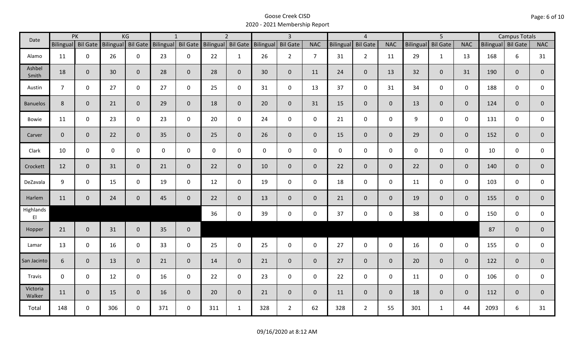| Date               |                    | PK           |             | KG                 | $\mathbf{1}$       |                |                    | $\overline{2}$ |           | $\overline{3}$  |                |                  | $\overline{4}$  |                |                  | $\overline{5}$  |                | <b>Campus Totals</b> |              |                |
|--------------------|--------------------|--------------|-------------|--------------------|--------------------|----------------|--------------------|----------------|-----------|-----------------|----------------|------------------|-----------------|----------------|------------------|-----------------|----------------|----------------------|--------------|----------------|
|                    | Bilingual Bil Gate |              |             | Bilingual Bil Gate | Bilingual Bil Gate |                | Bilingual Bil Gate |                | Bilingual | <b>Bil Gate</b> | <b>NAC</b>     | <b>Bilingual</b> | <b>Bil Gate</b> | <b>NAC</b>     | <b>Bilingual</b> | <b>Bil Gate</b> | <b>NAC</b>     | Bilingual Bil Gate   |              | <b>NAC</b>     |
| Alamo              | 11                 | $\mathbf 0$  | 26          | $\mathbf 0$        | 23                 | $\mathbf 0$    | 22                 | $\mathbf{1}$   | 26        | $2^{\circ}$     | $\overline{7}$ | 31               | $\overline{2}$  | 11             | 29               | $\mathbf{1}$    | 13             | 168                  | 6            | 31             |
| Ashbel<br>Smith    | 18                 | $\mathbf{0}$ | 30          | $\overline{0}$     | 28                 | $\mathbf 0$    | 28                 | $\overline{0}$ | 30        | $\mathbf{0}$    | 11             | 24               | $\overline{0}$  | 13             | 32               | $\overline{0}$  | 31             | 190                  | $\mathbf{0}$ | $\overline{0}$ |
| Austin             | $\overline{7}$     | $\Omega$     | 27          | $\mathsf{O}$       | 27                 | $\mathbf 0$    | 25                 | $\mathbf 0$    | 31        | $\mathbf 0$     | 13             | 37               | $\mathbf 0$     | 31             | 34               | $\mathbf{0}$    | $\mathbf 0$    | 188                  | 0            | 0              |
| <b>Banuelos</b>    | 8                  | $\mathbf{0}$ | 21          | $\mathbf 0$        | 29                 | $\mathbf 0$    | 18                 | $\mathbf 0$    | 20        | $\mathbf{0}$    | 31             | 15               | $\overline{0}$  | $\overline{0}$ | 13               | $\overline{0}$  | $\mathbf{0}$   | 124                  | $\mathbf{0}$ | $\mathbf{0}$   |
| Bowie              | 11                 | $\mathbf 0$  | 23          | $\mathsf 0$        | 23                 | $\mathbf 0$    | 20                 | $\mathbf{0}$   | 24        | $\mathsf{O}$    | $\mathsf{O}$   | 21               | $\mathbf 0$     | $\mathsf{O}$   | 9                | $\mathbf 0$     | $\mathbf 0$    | 131                  | $\mathbf 0$  | 0              |
| Carver             | $\mathbf{0}$       | $\mathbf{0}$ | 22          | $\mathbf{0}$       | 35                 | $\overline{0}$ | 25                 | $\mathbf 0$    | 26        | $\overline{0}$  | $\mathbf{0}$   | 15               | $\overline{0}$  | $\overline{0}$ | 29               | $\overline{0}$  | $\mathbf{0}$   | 152                  | $\mathbf{0}$ | $\mathbf{0}$   |
| Clark              | 10                 | $\mathbf 0$  | $\mathbf 0$ | $\mathbf 0$        | $\mathbf 0$        | 0              | $\mathbf 0$        | $\mathbf 0$    | 0         | $\mathbf 0$     | $\mathbf 0$    | $\mathbf 0$      | $\mathbf 0$     | $\mathsf{O}$   | $\mathbf 0$      | $\mathbf 0$     | $\mathbf 0$    | 10                   | $\mathbf 0$  | 0              |
| Crockett           | 12                 | $\mathbf{0}$ | 31          | $\mathbf{0}$       | 21                 | $\mathbf{0}$   | 22                 | $\mathbf 0$    | 10        | $\mathbf{0}$    | $\mathbf 0$    | 22               | $\overline{0}$  | $\overline{0}$ | 22               | $\overline{0}$  | $\mathbf{0}$   | 140                  | $\mathbf{0}$ | $\mathbf 0$    |
| DeZavala           | 9                  | $\mathbf 0$  | 15          | $\mathbf 0$        | 19                 | $\Omega$       | 12                 | $\mathbf 0$    | 19        | $\mathbf 0$     | 0              | 18               | $\mathbf 0$     | $\mathbf 0$    | 11               | $\mathbf 0$     | $\mathbf 0$    | 103                  | $\mathbf 0$  | $\mathsf{O}$   |
| Harlem             | 11                 | $\mathbf 0$  | 24          | $\mathbf 0$        | 45                 | $\mathbf 0$    | 22                 | $\overline{0}$ | 13        | $\mathbf{0}$    | $\mathbf 0$    | 21               | $\overline{0}$  | $\overline{0}$ | 19               | $\mathbf{0}$    | $\overline{0}$ | 155                  | $\mathbf{0}$ | $\overline{0}$ |
| Highlands<br>EI    |                    |              |             |                    |                    |                | 36                 | $\mathbf 0$    | 39        | $\mathbf 0$     | $\mathbf 0$    | 37               | $\mathbf 0$     | $\mathsf{O}$   | 38               | $\mathbf 0$     | $\mathbf 0$    | 150                  | $\mathbf 0$  | $\mathsf{O}$   |
| Hopper             | 21                 | $\mathbf{0}$ | 31          | $\overline{0}$     | 35                 | $\mathbf 0$    |                    |                |           |                 |                |                  |                 |                |                  |                 |                | 87                   | $\mathbf{0}$ | $\mathbf 0$    |
| Lamar              | 13                 | $\mathbf 0$  | 16          | $\mathbf 0$        | 33                 | $\mathbf 0$    | 25                 | $\mathbf 0$    | 25        | $\mathbf 0$     | $\mathbf 0$    | 27               | $\mathbf 0$     | $\mathbf 0$    | 16               | $\mathbf 0$     | $\mathbf 0$    | 155                  | $\mathbf 0$  | $\mathsf{O}$   |
| San Jacinto        | 6                  | $\mathbf{0}$ | 13          | $\overline{0}$     | 21                 | $\mathbf 0$    | 14                 | $\overline{0}$ | 21        | $\overline{0}$  | $\overline{0}$ | 27               | $\overline{0}$  | $\overline{0}$ | 20               | $\overline{0}$  | $\mathbf{0}$   | 122                  | $\mathbf{0}$ | $\overline{0}$ |
| Travis             | $\mathbf 0$        | $\mathbf 0$  | 12          | $\mathbf 0$        | 16                 | $\mathbf 0$    | 22                 | $\mathbf 0$    | 23        | $\mathbf 0$     | $\mathsf{O}$   | 22               | $\mathbf 0$     | $\mathsf{O}$   | 11               | $\mathbf 0$     | $\mathbf 0$    | 106                  | $\mathbf 0$  | 0              |
| Victoria<br>Walker | 11                 | $\mathbf{0}$ | 15          | $\overline{0}$     | 16                 | $\mathbf 0$    | 20                 | $\overline{0}$ | 21        | $\overline{0}$  | $\mathbf{0}$   | 11               | $\overline{0}$  | $\overline{0}$ | 18               | $\overline{0}$  | $\overline{0}$ | 112                  | $\mathbf{0}$ | $\mathbf{0}$   |
| Total              | 148                | 0            | 306         | $\mathbf 0$        | 371                | $\mathbf 0$    | 311                | $\mathbf{1}$   | 328       | $2^{\circ}$     | 62             | 328              | $\overline{2}$  | 55             | 301              | $\mathbf{1}$    | 44             | 2093                 | 6            | 31             |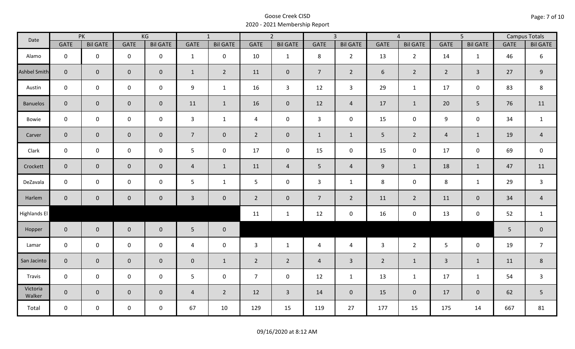| Date                | PK             |                     | KG                  |                 | $\overline{1}$  |                 | $\overline{2}$ |                 |                | $\overline{3}$  |                | $\overline{4}$  |                | $\overline{5}$  |             | <b>Campus Totals</b> |
|---------------------|----------------|---------------------|---------------------|-----------------|-----------------|-----------------|----------------|-----------------|----------------|-----------------|----------------|-----------------|----------------|-----------------|-------------|----------------------|
|                     | <b>GATE</b>    | <b>Bil GATE</b>     | <b>GATE</b>         | <b>Bil GATE</b> | <b>GATE</b>     | <b>Bil GATE</b> | <b>GATE</b>    | <b>Bil GATE</b> | <b>GATE</b>    | <b>Bil GATE</b> | <b>GATE</b>    | <b>Bil GATE</b> | <b>GATE</b>    | <b>Bil GATE</b> | <b>GATE</b> | <b>Bil GATE</b>      |
| Alamo               | $\mathbf 0$    | $\mathbf 0$         | $\mathbf 0$         | $\mathbf 0$     | $\mathbf{1}$    | $\mathbf 0$     | 10             | $\mathbf{1}$    | 8              | $2^{\circ}$     | 13             | $\overline{2}$  | 14             | 1               | 46          | 6                    |
| <b>Ashbel Smith</b> | $\mathbf{0}$   | $\mathbf 0$         | $\mathbf 0$         | $\overline{0}$  | $\mathbf{1}$    | $\overline{2}$  | 11             | $\mathbf{0}$    | $\overline{7}$ | $\overline{2}$  | 6              | $2^{\circ}$     | $2^{\circ}$    | $\overline{3}$  | 27          | 9                    |
| Austin              | $\mathbf 0$    | $\mathbf 0$         | $\mathbf 0$         | $\mathbf 0$     | 9               | $\mathbf{1}$    | 16             | $\overline{3}$  | 12             | $\mathbf{3}$    | 29             | $\mathbf{1}$    | 17             | $\mathbf 0$     | 83          | 8                    |
| <b>Banuelos</b>     | $\overline{0}$ | $\mathbf{0}$        | $\mathbf 0$         | $\overline{0}$  | 11              | $\mathbf{1}$    | 16             | $\mathbf{0}$    | 12             | $\overline{4}$  | 17             | $\mathbf{1}$    | 20             | 5               | 76          | 11                   |
| Bowie               | $\mathbf 0$    | $\mathbf 0$         | $\mathsf{O}$        | $\mathbf 0$     | $\mathbf{3}$    | $\mathbf{1}$    | $\overline{4}$ | $\mathbf 0$     | $\mathbf{3}$   | $\mathbf 0$     | 15             | 0               | 9              | $\mathbf 0$     | 34          | $\mathbf{1}$         |
| Carver              | $\overline{0}$ | $\mathbf{0}$        | $\mathbf 0$         | $\mathbf{0}$    | 7 <sup>1</sup>  | $\overline{0}$  | $2^{\circ}$    | $\mathbf{0}$    | $\mathbf{1}$   | $\mathbf{1}$    | $5\phantom{.}$ | $\overline{2}$  | $\overline{4}$ | $\mathbf{1}$    | 19          | $\overline{4}$       |
| Clark               | $\mathbf 0$    | $\mathbf 0$         | $\mathbf 0$         | $\mathbf 0$     | 5               | $\mathbf 0$     | 17             | $\mathbf 0$     | 15             | $\mathbf 0$     | 15             | $\mathbf 0$     | 17             | $\mathbf 0$     | 69          | $\mathsf 0$          |
| Crockett            | $\overline{0}$ | $\mathbf 0$         | $\mathbf 0$         | $\mathbf{0}$    | $\overline{4}$  | $\mathbf{1}$    | 11             | $\overline{4}$  | 5 <sub>1</sub> | $\overline{4}$  | $9\,$          | $\mathbf{1}$    | 18             | $\mathbf{1}$    | 47          | 11                   |
| DeZavala            | $\mathbf 0$    | $\mathbf 0$         | $\pmb{0}$           | $\mathbf 0$     | 5               | $\mathbf{1}$    | 5              | $\mathbf 0$     | $\overline{3}$ | $\mathbf{1}$    | 8              | $\mathbf 0$     | $\,8\,$        | $\mathbf{1}$    | 29          | $\mathsf{3}$         |
| Harlem              | $\overline{0}$ | $\mathsf{O}\xspace$ | $\mathbf 0$         | $\overline{0}$  | $\mathbf{3}$    | $\mathbf 0$     | $2^{\circ}$    | $\mathbf 0$     | $\overline{7}$ | $2^{\circ}$     | 11             | $2^{\circ}$     | 11             | $\mathbf 0$     | 34          | $\sqrt{4}$           |
| Highlands El        |                |                     |                     |                 |                 |                 | 11             | $\mathbf{1}$    | 12             | $\mathbf 0$     | 16             | 0               | 13             | $\mathbf 0$     | 52          | $\mathbf{1}$         |
| Hopper              | $\overline{0}$ | $\overline{0}$      | $\mathbf 0$         | $\overline{0}$  | $5\phantom{.0}$ | $\mathbf 0$     |                |                 |                |                 |                |                 |                |                 | 5           | $\pmb{0}$            |
| Lamar               | $\mathbf 0$    | $\mathbf 0$         | $\mathsf{O}\xspace$ | $\mathbf 0$     | $\overline{4}$  | $\mathbf 0$     | 3              | $\mathbf{1}$    | $\overline{4}$ | $\overline{4}$  | $\overline{3}$ | $2^{\circ}$     | 5 <sup>5</sup> | $\mathbf 0$     | 19          | $\overline{7}$       |
| San Jacinto         | $\mathbf 0$    | $\mathbf{0}$        | $\mathbf 0$         | $\overline{0}$  | $\pmb{0}$       | $\mathbf{1}$    | $\overline{2}$ | $\overline{2}$  | $\overline{4}$ | $\overline{3}$  | $\overline{2}$ | $\mathbf{1}$    | $\mathbf{3}$   | $\mathbf{1}$    | 11          | $\,8\,$              |
| Travis              | $\mathbf 0$    | $\mathbf 0$         | $\mathsf 0$         | $\mathbf 0$     | 5               | $\mathbf 0$     | $\overline{7}$ | $\mathbf 0$     | 12             | $\mathbf{1}$    | 13             | $\mathbf{1}$    | 17             | $\mathbf{1}$    | 54          | $\mathsf{3}$         |
| Victoria<br>Walker  | $\overline{0}$ | $\overline{0}$      | $\mathbf 0$         | $\overline{0}$  | $\overline{4}$  | $\overline{2}$  | 12             | $\overline{3}$  | 14             | $\overline{0}$  | 15             | $\overline{0}$  | 17             | $\overline{0}$  | 62          | 5                    |
| Total               | $\mathbf 0$    | $\mathbf 0$         | $\mathsf{O}$        | $\mathbf 0$     | 67              | 10              | 129            | 15              | 119            | 27              | 177            | 15              | 175            | 14              | 667         | 81                   |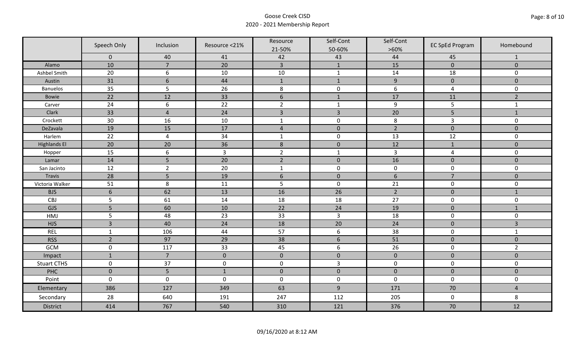|                     | Speech Only     | Inclusion       | Resource <21%  | Resource<br>21-50% | Self-Cont<br>50-60% | Self-Cont<br>$>60\%$ | <b>EC SpEd Program</b> | Homebound      |
|---------------------|-----------------|-----------------|----------------|--------------------|---------------------|----------------------|------------------------|----------------|
|                     | $\mathbf 0$     | 40              | 41             | 42                 | 43                  | 44                   | 45                     | $\mathbf{1}$   |
| Alamo               | 10              | $\overline{7}$  | 20             | $\overline{3}$     | $\mathbf{1}$        | 15                   | $\pmb{0}$              | $\mathbf 0$    |
| Ashbel Smith        | 20              | 6               | 10             | $10\,$             | $\mathbf{1}$        | 14                   | 18                     | 0              |
| Austin              | 31              | $6\phantom{1}6$ | 44             | $\mathbf{1}$       | $\mathbf{1}$        | $\overline{9}$       | $\pmb{0}$              | $\overline{0}$ |
| <b>Banuelos</b>     | 35              | 5               | 26             | $\,8\,$            | $\pmb{0}$           | 6                    | $\overline{a}$         | 0              |
| <b>Bowie</b>        | 22              | 12              | 33             | $\boldsymbol{6}$   | $1\,$               | 17                   | 11                     | $\overline{2}$ |
| Carver              | 24              | 6               | 22             | $\overline{2}$     | $\mathbf{1}$        | $\boldsymbol{9}$     | 5                      | $\mathbf{1}$   |
| Clark               | 33              | $\overline{4}$  | 24             | $\overline{3}$     | $\overline{3}$      | 20                   | 5                      | $1\,$          |
| Crockett            | 30              | 16              | 10             | $\mathbf{1}$       | $\pmb{0}$           | 8                    | 3                      | 0              |
| DeZavala            | 19              | 15              | 17             | $\sqrt{4}$         | $\pmb{0}$           | $\overline{2}$       | $\pmb{0}$              | $\overline{0}$ |
| Harlem              | 22              | $\overline{4}$  | 34             | $\mathbf 1$        | $\pmb{0}$           | 13                   | 12                     | 0              |
| <b>Highlands El</b> | 20              | 20              | 36             | $\,$ 8 $\,$        | $\pmb{0}$           | 12                   | $1\,$                  | $\overline{0}$ |
| Hopper              | 15              | 6               | $\overline{3}$ | $\overline{2}$     | $\mathbf{1}$        | $\overline{3}$       | $\overline{a}$         | 0              |
| Lamar               | 14              | 5               | 20             | $\overline{2}$     | $\pmb{0}$           | 16                   | $\pmb{0}$              | $\mathbf 0$    |
| San Jacinto         | 12              | $\overline{2}$  | 20             | $\mathbf{1}$       | $\pmb{0}$           | $\pmb{0}$            | $\mathbf 0$            | 0              |
| Travis              | 28              | 5               | 19             | $6\,$              | $\pmb{0}$           | $\sqrt{6}$           | $\overline{7}$         | $\mathbf 0$    |
| Victoria Walker     | 51              | 8               | 11             | 5                  | $\pmb{0}$           | 21                   | $\pmb{0}$              | 0              |
| <b>BJS</b>          | $6\phantom{1}6$ | 62              | 13             | 16                 | 26                  | $\overline{2}$       | $\pmb{0}$              | $\mathbf{1}$   |
| CBJ                 | 5               | 61              | 14             | 18                 | 18                  | 27                   | $\pmb{0}$              | 0              |
| GJS                 | 5               | 60              | 10             | 22                 | 24                  | 19                   | $\mathbf 0$            | $\mathbf{1}$   |
| HMJ                 | 5               | 48              | 23             | 33                 | $\overline{3}$      | 18                   | $\pmb{0}$              | 0              |
| <b>HJS</b>          | $\overline{3}$  | 40              | 24             | 18                 | 20                  | 24                   | $\pmb{0}$              | 3              |
| <b>REL</b>          | $\mathbf{1}$    | 106             | 44             | 57                 | $\boldsymbol{6}$    | 38                   | $\pmb{0}$              | $\mathbf{1}$   |
| <b>RSS</b>          | $\overline{2}$  | 97              | 29             | 38                 | $\sqrt{6}$          | 51                   | $\pmb{0}$              | $\mathbf{0}$   |
| GCM                 | $\mathsf 0$     | 117             | 33             | 45                 | $\boldsymbol{6}$    | 26                   | $\pmb{0}$              | $\overline{2}$ |
| Impact              | $\mathbf{1}$    | $\overline{7}$  | $\mathbf{0}$   | $\mathbf 0$        | $\pmb{0}$           | $\mathbf 0$          | $\mathbf 0$            | $\overline{0}$ |
| <b>Stuart CTHS</b>  | $\mathsf 0$     | 37              | $\pmb{0}$      | $\pmb{0}$          | $\overline{3}$      | $\pmb{0}$            | $\pmb{0}$              | 0              |
| PHC                 | $\mathbf 0$     | 5               | $1\,$          | $\pmb{0}$          | $\pmb{0}$           | $\pmb{0}$            | $\pmb{0}$              | $\pmb{0}$      |
| Point               | $\mathbf 0$     | $\mathbf 0$     | $\mathbf 0$    | $\boldsymbol{0}$   | $\pmb{0}$           | $\mathbf 0$          | $\mathbf 0$            | 0              |
| Elementary          | 386             | 127             | 349            | 63                 | $9\,$               | 171                  | 70                     | $\overline{4}$ |
| Secondary           | 28              | 640             | 191            | 247                | 112                 | 205                  | $\mathbf 0$            | 8              |
| <b>District</b>     | 414             | 767             | 540            | 310                | 121                 | 376                  | 70                     | 12             |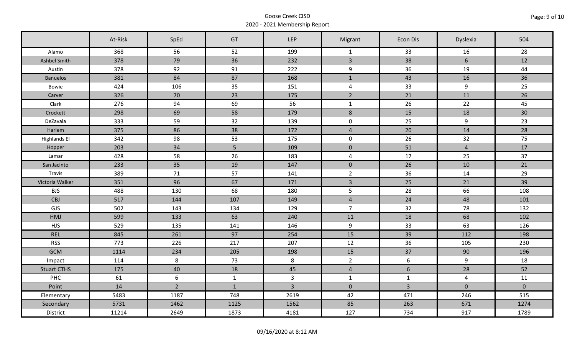|                     | At-Risk | SpEd        | GT             | LEP            | Migrant                 | Econ Dis       | Dyslexia       | 504         |
|---------------------|---------|-------------|----------------|----------------|-------------------------|----------------|----------------|-------------|
| Alamo               | 368     | 56          | 52             | 199            | $\mathbf{1}$            | 33             | 16             | 28          |
| Ashbel Smith        | 378     | 79          | 36             | 232            | $\overline{3}$          | 38             | 6              | 12          |
| Austin              | 378     | 92          | 91             | 222            | 9                       | 36             | 19             | 44          |
| <b>Banuelos</b>     | 381     | 84          | 87             | 168            | $\mathbf 1$             | 43             | 16             | 36          |
| Bowie               | 424     | 106         | 35             | 151            | $\overline{\mathbf{4}}$ | 33             | 9              | 25          |
| Carver              | 326     | 70          | 23             | 175            | $\overline{2}$          | 21             | 11             | 26          |
| Clark               | 276     | 94          | 69             | 56             | $\mathbf 1$             | 26             | 22             | 45          |
| Crockett            | 298     | 69          | 58             | 179            | $\,8\,$                 | 15             | 18             | 30          |
| DeZavala            | 333     | 59          | 32             | 139            | $\mathbf 0$             | 25             | 9              | 23          |
| Harlem              | 375     | 86          | 38             | 172            | $\overline{4}$          | 20             | 14             | 28          |
| <b>Highlands El</b> | 342     | 98          | 53             | 175            | $\mathsf{O}\xspace$     | 26             | 32             | 75          |
| Hopper              | 203     | 34          | 5 <sub>5</sub> | 109            | $\mathbf 0$             | 51             | $\overline{4}$ | 17          |
| Lamar               | 428     | 58          | 26             | 183            | $\overline{\mathbf{4}}$ | 17             | 25             | 37          |
| San Jacinto         | 233     | 35          | 19             | 147            | $\mathbf 0$             | 26             | 10             | 21          |
| Travis              | 389     | $71$        | 57             | 141            | $\overline{2}$          | 36             | 14             | 29          |
| Victoria Walker     | 351     | 96          | 67             | 171            | $\overline{3}$          | 25             | 21             | 39          |
| <b>BJS</b>          | 488     | 130         | 68             | 180            | 5                       | 28             | 66             | 108         |
| CBJ                 | 517     | 144         | 107            | 149            | $\overline{4}$          | 24             | 48             | 101         |
| GJS                 | 502     | 143         | 134            | 129            | $\overline{7}$          | 32             | 78             | 132         |
| <b>HMJ</b>          | 599     | 133         | 63             | 240            | 11                      | 18             | 68             | 102         |
| <b>HJS</b>          | 529     | 135         | 141            | 146            | 9                       | 33             | 63             | 126         |
| <b>REL</b>          | 845     | 261         | 97             | 254            | 15                      | 39             | 112            | 198         |
| <b>RSS</b>          | 773     | 226         | 217            | 207            | 12                      | 36             | 105            | 230         |
| <b>GCM</b>          | 1114    | 234         | 205            | 198            | 15                      | 37             | 90             | 196         |
| Impact              | 114     | 8           | 73             | 8              | $\overline{2}$          | $6\,$          | $\overline{9}$ | 18          |
| <b>Stuart CTHS</b>  | 175     | 40          | 18             | 45             | $\overline{4}$          | 6              | 28             | 52          |
| PHC                 | 61      | 6           | $\mathbf{1}$   | $\overline{3}$ | $\mathbf{1}$            | $\mathbf{1}$   | $\overline{4}$ | 11          |
| Point               | 14      | $2^{\circ}$ | $\mathbf{1}$   | $\overline{3}$ | $\mathbf{0}$            | $\overline{3}$ | $\mathbf 0$    | $\mathbf 0$ |
| Elementary          | 5483    | 1187        | 748            | 2619           | 42                      | 471            | 246            | 515         |
| Secondary           | 5731    | 1462        | 1125           | 1562           | 85                      | 263            | 671            | 1274        |
| District            | 11214   | 2649        | 1873           | 4181           | 127                     | 734            | 917            | 1789        |